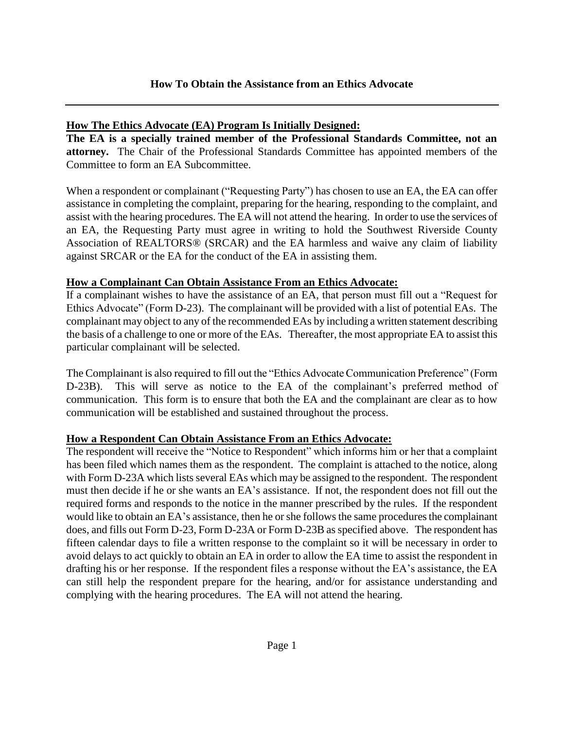## **How The Ethics Advocate (EA) Program Is Initially Designed:**

**The EA is a specially trained member of the Professional Standards Committee, not an attorney.** The Chair of the Professional Standards Committee has appointed members of the Committee to form an EA Subcommittee.

When a respondent or complainant ("Requesting Party") has chosen to use an EA, the EA can offer assistance in completing the complaint, preparing for the hearing, responding to the complaint, and assist with the hearing procedures. The EA will not attend the hearing. In order to use the services of an EA, the Requesting Party must agree in writing to hold the Southwest Riverside County Association of REALTORS® (SRCAR) and the EA harmless and waive any claim of liability against SRCAR or the EA for the conduct of the EA in assisting them.

## **How a Complainant Can Obtain Assistance From an Ethics Advocate:**

If a complainant wishes to have the assistance of an EA, that person must fill out a "Request for Ethics Advocate" (Form D-23). The complainant will be provided with a list of potential EAs. The complainant may object to any of the recommended EAs by including a written statement describing the basis of a challenge to one or more of the EAs. Thereafter, the most appropriate EA to assist this particular complainant will be selected.

The Complainant is also required to fill out the "Ethics Advocate Communication Preference" (Form D-23B). This will serve as notice to the EA of the complainant's preferred method of communication. This form is to ensure that both the EA and the complainant are clear as to how communication will be established and sustained throughout the process.

# **How a Respondent Can Obtain Assistance From an Ethics Advocate:**

The respondent will receive the "Notice to Respondent" which informs him or her that a complaint has been filed which names them as the respondent. The complaint is attached to the notice, along with Form D-23A which lists several EAs which may be assigned to the respondent. The respondent must then decide if he or she wants an EA's assistance. If not, the respondent does not fill out the required forms and responds to the notice in the manner prescribed by the rules. If the respondent would like to obtain an EA's assistance, then he or she follows the same procedures the complainant does, and fills out Form D-23, Form D-23A or Form D-23B as specified above. The respondent has fifteen calendar days to file a written response to the complaint so it will be necessary in order to avoid delays to act quickly to obtain an EA in order to allow the EA time to assist the respondent in drafting his or her response. If the respondent files a response without the EA's assistance, the EA can still help the respondent prepare for the hearing, and/or for assistance understanding and complying with the hearing procedures. The EA will not attend the hearing.